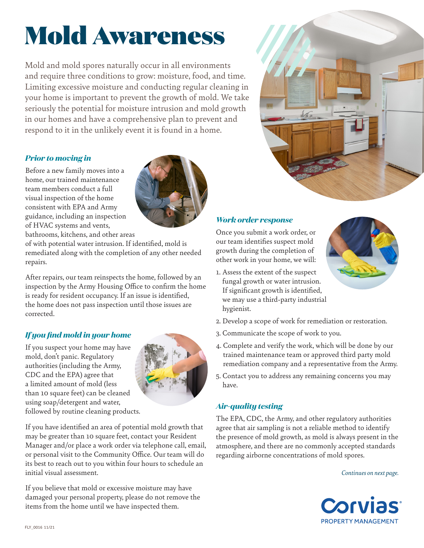# Mold Awareness

Mold and mold spores naturally occur in all environments and require three conditions to grow: moisture, food, and time. Limiting excessive moisture and conducting regular cleaning in your home is important to prevent the growth of mold. We take seriously the potential for moisture intrusion and mold growth in our homes and have a comprehensive plan to prevent and respond to it in the unlikely event it is found in a home.

## *Prior to moving in*

Before a new family moves into a home, our trained maintenance team members conduct a full visual inspection of the home consistent with EPA and Army guidance, including an inspection of HVAC systems and vents,



bathrooms, kitchens, and other areas of with potential water intrusion. If identified, mold is remediated along with the completion of any other needed repairs.

After repairs, our team reinspects the home, followed by an inspection by the Army Housing Office to confirm the home is ready for resident occupancy. If an issue is identified, the home does not pass inspection until those issues are corrected.

## *If you find mold in your home*

If you suspect your home may have mold, don't panic. Regulatory authorities (including the Army, CDC and the EPA) agree that a limited amount of mold (less than 10 square feet) can be cleaned using soap/detergent and water, followed by routine cleaning products.



If you have identified an area of potential mold growth that may be greater than 10 square feet, contact your Resident Manager and/or place a work order via telephone call, email, or personal visit to the Community Office. Our team will do its best to reach out to you within four hours to schedule an

If you believe that mold or excessive moisture may have damaged your personal property, please do not remove the items from the home until we have inspected them.



## *Work order response*

Once you submit a work order, or our team identifies suspect mold growth during the completion of other work in your home, we will:



- 1. Assess the extent of the suspect fungal growth or water intrusion. If significant growth is identified, we may use a third-party industrial hygienist.
- 2. Develop a scope of work for remediation or restoration.
- 3. Communicate the scope of work to you.
- 4. Complete and verify the work, which will be done by our trained maintenance team or approved third party mold remediation company and a representative from the Army.
- 5. Contact you to address any remaining concerns you may have.

## *Air-quality testing*

The EPA, CDC, the Army, and other regulatory authorities agree that air sampling is not a reliable method to identify the presence of mold growth, as mold is always present in the atmosphere, and there are no commonly accepted standards regarding airborne concentrations of mold spores.

*Continues on next page.*



initial visual assessment.